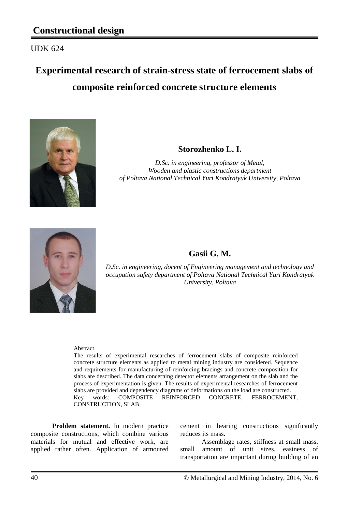UDK 624

# **Experimental research of strain-stress state of ferrocement slabs of composite reinforced concrete structure elements**



### **Storozhenko L. I.**

*D.Sc. in engineering, professor of Metal, Wooden and plastic constructions department of Poltava National Technical Yuri Kondratyuk University, Poltava*



## **Gasii G. M.**

*D.Sc. in engineering, docent of Engineering management and technology and occupation safety department of Poltava National Technical Yuri Kondratyuk University, Poltava*

#### Abstract

The results of experimental researches of ferrocement slabs of composite reinforced concrete structure elements as applied to metal mining industry are considered. Sequence and requirements for manufacturing of reinforcing bracings and concrete composition for slabs are described. The data concerning detector elements arrangement on the slab and the process of experimentation is given. The results of experimental researches of ferrocement slabs are provided and dependency diagrams of deformations on the load are constructed. Key words: COMPOSITE REINFORCED CONCRETE, FERROCEMENT, CONSTRUCTION, SLAB.

**Problem statement.** In modern practice composite constructions, which combine various materials for mutual and effective work, are applied rather often. Application of armoured cement in bearing constructions significantly reduces its mass.

Assemblage rates, stiffness at small mass, small amount of unit sizes, easiness of transportation are important during building of an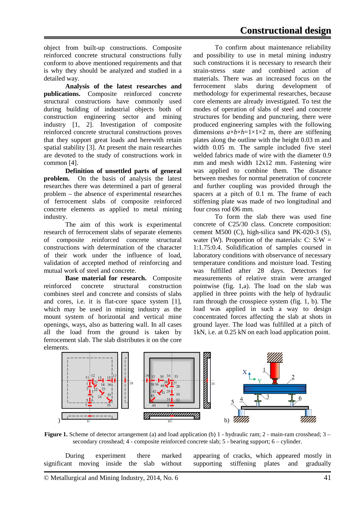object from built-up constructions. Composite reinforced concrete structural constructions fully conform to above mentioned requirements and that is why they should be analyzed and studied in a detailed way.

**Analysis of the latest researches and publications.** Composite reinforced concrete structural constructions have commonly used during building of industrial objects both of construction engineering sector and mining industry [1, 2]. Investigation of composite reinforced concrete structural constructions proves that they support great loads and herewith retain spatial stability [3]. At present the main researches are devoted to the study of constructions work in common [4].

**Definition of unsettled parts of general problem.** On the basis of analysis the latest researches there was determined a part of general problem – the absence of experimental researches of ferrocement slabs of composite reinforced concrete elements as applied to metal mining industry.

The aim of this work is experimental research of ferrocement slabs of separate elements of composite reinforced concrete structural constructions with determination of the character of their work under the influence of load, validation of accepted method of reinforcing and mutual work of steel and concrete.

**Base material for research.** Composite reinforced concrete structural construction combines steel and concrete and consists of slabs and cores, i.e. it is flat-core space system [1], which may be used in mining industry as the mount system of horizontal and vertical mine openings, ways, also as battering wall. In all cases all the load from the ground is taken by ferrocement slab. The slab distributes it on the core elements.

To confirm about maintenance reliability and possibility to use in metal mining industry such constructions it is necessary to research their strain-stress state and combined action of materials. There was an increased focus on the ferrocement slabs during development of methodology for experimental researches, because core elements are already investigated. To test the modes of operation of slabs of steel and concrete structures for bending and puncturing, there were produced engineering samples with the following dimensions  $a \times b \times h = 1 \times 1 \times 2$  m, there are stiffening plates along the outline with the height 0.03 m and width 0.05 m. The sample included five steel welded fabrics made of wire with the diameter 0.9 mm and mesh width 12x12 mm. Fastening wire was applied to combine them. The distance between meshes for normal penetration of concrete and further coupling was provided through the spacers at a pitch of 0.1 m. The frame of each stiffening plate was made of two longitudinal and four cross rod Ø6 mm.

To form the slab there was used fine concrete of С25/30 class. Concrete composition: cement M500 (C), high-silica sand PK-020-3 (S), water (W). Proportion of the materials:  $C: S: W =$ 1:1.75:0.4. Solidification of samples coursed in laboratory conditions with observance of necessary temperature conditions and moisture load. Testing was fulfilled after 28 days. Detectors for measurements of relative strain were arranged pointwise (fig. 1,a). The load on the slab was applied in three points with the help of hydraulic ram through the crosspiece system (fig. 1, b). The load was applied in such a way to design concentrated forces affecting the slab at shots in ground layer. The load was fulfilled at a pitch of 1kN, i.e. at 0.25 kN on each load application point.



**Figure 1.** Scheme of detector arrangement (a) and load application (b) 1 - hydraulic ram; 2 - main-ram crosshead; 3 – secondary crosshead; 4 - composite reinforced concrete slab; 5 - bearing support; 6 – cylinder.

During experiment there marked<br>ant moving inside the slab without significant moving inside the slab

appearing of cracks, which appeared mostly in supporting stiffening plates and gradually supporting

© Metallurgical and Mining Industry, 2014, No. 6 41